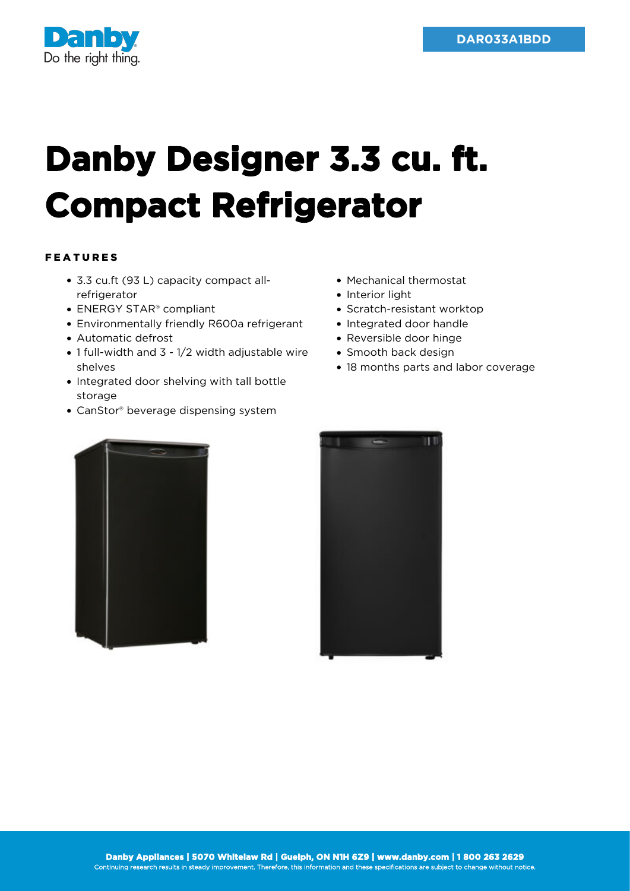

## **Danby Designer 3.3 cu. ft. Compact Refrigerator**

## FEATURES

- 3.3 cu.ft (93 L) capacity compact allrefrigerator
- ENERGY STAR<sup>®</sup> compliant
- Environmentally friendly R600a refrigerant
- Automatic defrost
- 1 full-width and 3 1/2 width adjustable wire shelves
- Integrated door shelving with tall bottle storage
- CanStor® beverage dispensing system
- Mechanical thermostat
- Interior light
- Scratch-resistant worktop
- Integrated door handle
- Reversible door hinge
- Smooth back design
- 18 months parts and labor coverage